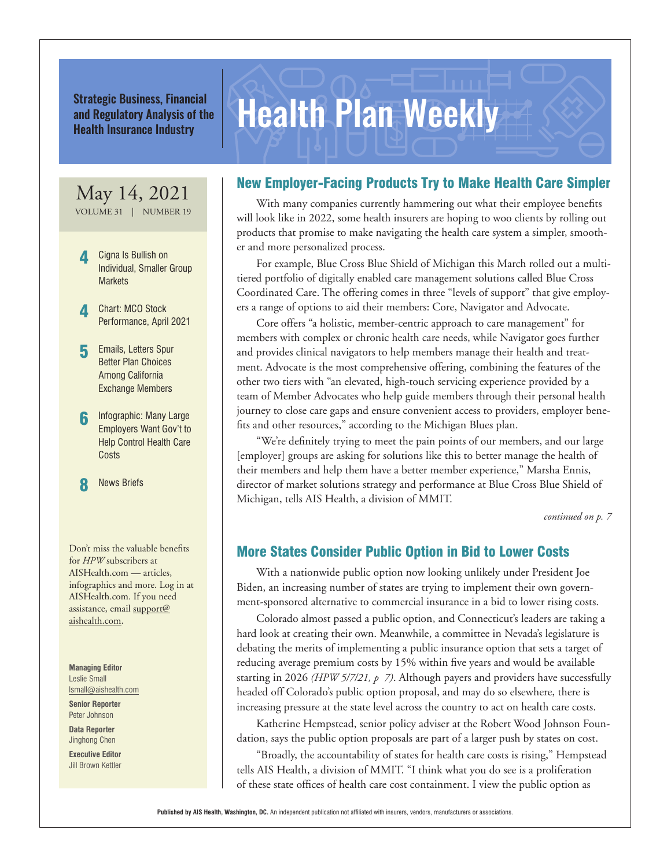Strategic Business, Financial<br>and Regulatory Analysis of the **Health Plan Weekly** and Regulatory Analysis of the Health Insurance Industry

# May 14, 2021

VOLUME 31 | NUMBER 19

- 4 Cigna Is Bullish on Individual, Smaller Group **Markets**
- **4** Chart: MCO Stock Performance, April 2021
- **5** Emails, Letters Spur Better Plan Choices Among California Exchange Members
- Infographic: Many Large Employers Want Gov't to Help Control Health Care **Costs**

**8** News Briefs

Don't miss the valuable benefits for *HPW* subscribers at AISHealth.com — articles, infographics and more. Log in at AISHealth.com. If you need assistance, email support@ aishealth.com.

**Managing Editor** Leslie Small lsmall@aishealth.com

**Senior Reporter** Peter Johnson

**Data Reporter** Jinghong Chen

**Executive Editor** Jill Brown Kettler

# New Employer-Facing Products Try to Make Health Care Simpler

With many companies currently hammering out what their employee benefits will look like in 2022, some health insurers are hoping to woo clients by rolling out products that promise to make navigating the health care system a simpler, smoother and more personalized process.

For example, Blue Cross Blue Shield of Michigan this March rolled out a multitiered portfolio of digitally enabled care management solutions called Blue Cross Coordinated Care. The offering comes in three "levels of support" that give employers a range of options to aid their members: Core, Navigator and Advocate.

Core offers "a holistic, member-centric approach to care management" for members with complex or chronic health care needs, while Navigator goes further and provides clinical navigators to help members manage their health and treatment. Advocate is the most comprehensive offering, combining the features of the other two tiers with "an elevated, high-touch servicing experience provided by a team of Member Advocates who help guide members through their personal health journey to close care gaps and ensure convenient access to providers, employer benefits and other resources," according to the Michigan Blues plan.

"We're definitely trying to meet the pain points of our members, and our large [employer] groups are asking for solutions like this to better manage the health of their members and help them have a better member experience," Marsha Ennis, director of market solutions strategy and performance at Blue Cross Blue Shield of Michigan, tells AIS Health, a division of MMIT.

*continued on p. 7*

# More States Consider Public Option in Bid to Lower Costs

With a nationwide public option now looking unlikely under President Joe Biden, an increasing number of states are trying to implement their own government-sponsored alternative to commercial insurance in a bid to lower rising costs.

Colorado almost passed a public option, and Connecticut's leaders are taking a hard look at creating their own. Meanwhile, a committee in Nevada's legislature is debating the merits of implementing a public insurance option that sets a target of reducing average premium costs by 15% within five years and would be available starting in 2026 *(HPW 5/7/21, p 7)*. Although payers and providers have successfully headed off Colorado's public option proposal, and may do so elsewhere, there is increasing pressure at the state level across the country to act on health care costs.

Katherine Hempstead, senior policy adviser at the Robert Wood Johnson Foundation, says the public option proposals are part of a larger push by states on cost.

"Broadly, the accountability of states for health care costs is rising," Hempstead tells AIS Health, a division of MMIT. "I think what you do see is a proliferation of these state offices of health care cost containment. I view the public option as

**Published by AIS Health, Washington, DC.** An independent publication not affiliated with insurers, vendors, manufacturers or associations.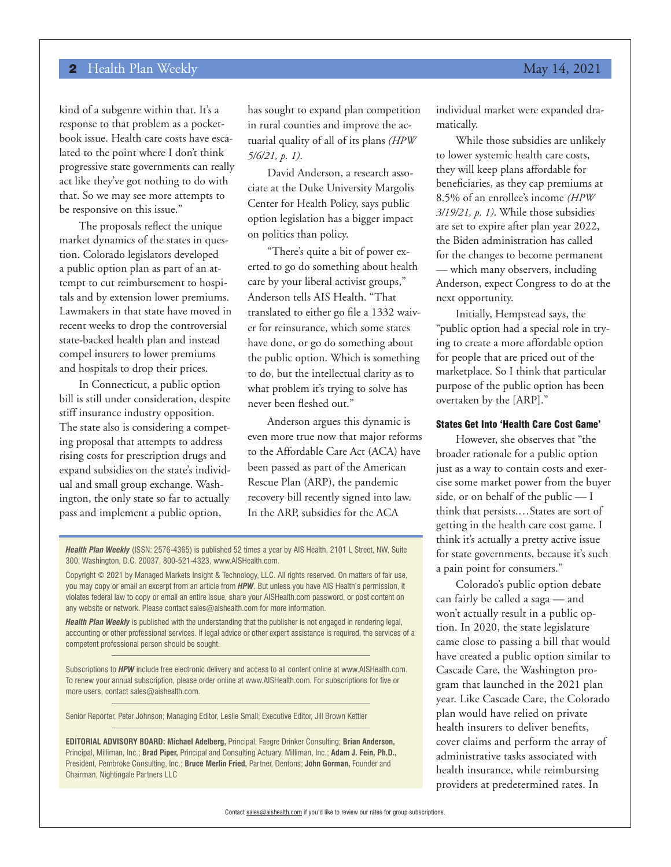kind of a subgenre within that. It's a response to that problem as a pocketbook issue. Health care costs have escalated to the point where I don't think progressive state governments can really act like they've got nothing to do with that. So we may see more attempts to be responsive on this issue."

The proposals reflect the unique market dynamics of the states in question. Colorado legislators developed a public option plan as part of an attempt to cut reimbursement to hospitals and by extension lower premiums. Lawmakers in that state have moved in recent weeks to drop the controversial state-backed health plan and instead compel insurers to lower premiums and hospitals to drop their prices.

In Connecticut, a public option bill is still under consideration, despite stiff insurance industry opposition. The state also is considering a competing proposal that attempts to address rising costs for prescription drugs and expand subsidies on the state's individual and small group exchange. Washington, the only state so far to actually pass and implement a public option,

has sought to expand plan competition in rural counties and improve the actuarial quality of all of its plans *(HPW 5/6/21, p. 1)*.

David Anderson, a research associate at the Duke University Margolis Center for Health Policy, says public option legislation has a bigger impact on politics than policy.

"There's quite a bit of power exerted to go do something about health care by your liberal activist groups," Anderson tells AIS Health. "That translated to either go file a 1332 waiver for reinsurance, which some states have done, or go do something about the public option. Which is something to do, but the intellectual clarity as to what problem it's trying to solve has never been fleshed out."

Anderson argues this dynamic is even more true now that major reforms to the Affordable Care Act (ACA) have been passed as part of the American Rescue Plan (ARP), the pandemic recovery bill recently signed into law. In the ARP, subsidies for the ACA

*Health Plan Weekly* (ISSN: 2576-4365) is published 52 times a year by AIS Health, 2101 L Street, NW, Suite 300, Washington, D.C. 20037, 800-521-4323, www.AISHealth.com.

Copyright © 2021 by Managed Markets Insight & Technology, LLC. All rights reserved. On matters of fair use, you may copy or email an excerpt from an article from *HPW*. But unless you have AIS Health's permission, it violates federal law to copy or email an entire issue, share your AISHealth.com password, or post content on any website or network. Please contact sales@aishealth.com for more information.

*Health Plan Weekly* is published with the understanding that the publisher is not engaged in rendering legal, accounting or other professional services. If legal advice or other expert assistance is required, the services of a competent professional person should be sought.

Subscriptions to *HPW* include free electronic delivery and access to all content online at www.AISHealth.com. To renew your annual subscription, please order online at www.AISHealth.com. For subscriptions for five or more users, contact sales@aishealth.com.

Senior Reporter, Peter Johnson; Managing Editor, Leslie Small; Executive Editor, Jill Brown Kettler

**EDITORIAL ADVISORY BOARD: Michael Adelberg,** Principal, Faegre Drinker Consulting; **Brian Anderson,**  Principal, Milliman, Inc.; **Brad Piper,** Principal and Consulting Actuary, Milliman, Inc.; **Adam J. Fein, Ph.D.,**  President, Pembroke Consulting, Inc.; **Bruce Merlin Fried,** Partner, Dentons; **John Gorman,** Founder and Chairman, Nightingale Partners LLC

individual market were expanded dramatically.

While those subsidies are unlikely to lower systemic health care costs, they will keep plans affordable for beneficiaries, as they cap premiums at 8.5% of an enrollee's income *(HPW 3/19/21, p. 1)*. While those subsidies are set to expire after plan year 2022, the Biden administration has called for the changes to become permanent — which many observers, including Anderson, expect Congress to do at the next opportunity.

Initially, Hempstead says, the "public option had a special role in trying to create a more affordable option for people that are priced out of the marketplace. So I think that particular purpose of the public option has been overtaken by the [ARP]."

## States Get Into 'Health Care Cost Game'

However, she observes that "the broader rationale for a public option just as a way to contain costs and exercise some market power from the buyer side, or on behalf of the public — I think that persists.…States are sort of getting in the health care cost game. I think it's actually a pretty active issue for state governments, because it's such a pain point for consumers."

Colorado's public option debate can fairly be called a saga — and won't actually result in a public option. In 2020, the state legislature came close to passing a bill that would have created a public option similar to Cascade Care, the Washington program that launched in the 2021 plan year. Like Cascade Care, the Colorado plan would have relied on private health insurers to deliver benefits, cover claims and perform the array of administrative tasks associated with health insurance, while reimbursing providers at predetermined rates. In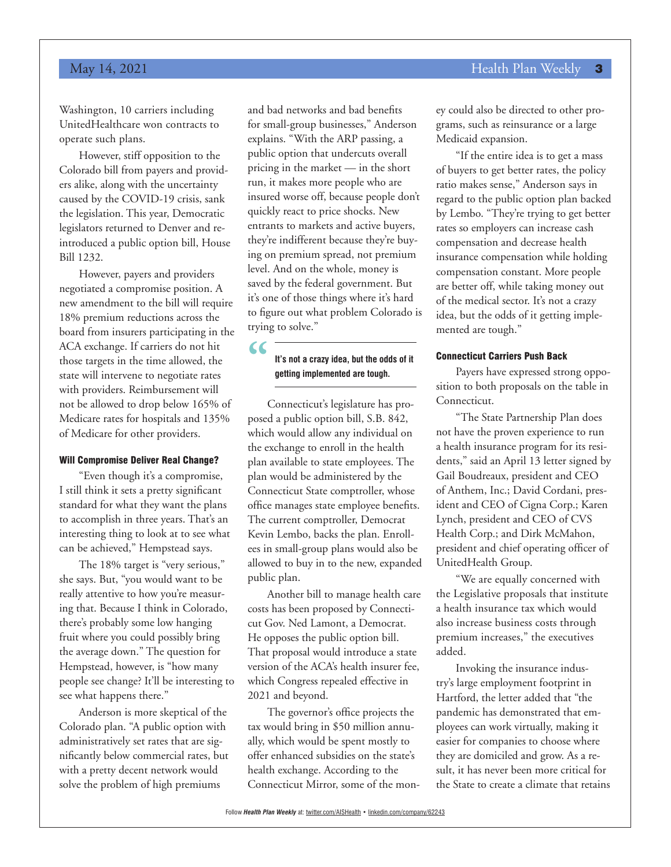# May 14, 2021 **Health Plan Weekly 3**

Washington, 10 carriers including UnitedHealthcare won contracts to operate such plans.

However, stiff opposition to the Colorado bill from payers and providers alike, along with the uncertainty caused by the COVID-19 crisis, sank the legislation. This year, Democratic legislators returned to Denver and reintroduced a public option bill, House Bill 1232.

However, payers and providers negotiated a compromise position. A new amendment to the bill will require 18% premium reductions across the board from insurers participating in the ACA exchange. If carriers do not hit those targets in the time allowed, the state will intervene to negotiate rates with providers. Reimbursement will not be allowed to drop below 165% of Medicare rates for hospitals and 135% of Medicare for other providers.

### Will Compromise Deliver Real Change?

"Even though it's a compromise, I still think it sets a pretty significant standard for what they want the plans to accomplish in three years. That's an interesting thing to look at to see what can be achieved," Hempstead says.

The 18% target is "very serious," she says. But, "you would want to be really attentive to how you're measuring that. Because I think in Colorado, there's probably some low hanging fruit where you could possibly bring the average down." The question for Hempstead, however, is "how many people see change? It'll be interesting to see what happens there."

Anderson is more skeptical of the Colorado plan. "A public option with administratively set rates that are significantly below commercial rates, but with a pretty decent network would solve the problem of high premiums

and bad networks and bad benefits for small-group businesses," Anderson explains. "With the ARP passing, a public option that undercuts overall pricing in the market — in the short run, it makes more people who are insured worse off, because people don't quickly react to price shocks. New entrants to markets and active buyers, they're indifferent because they're buying on premium spread, not premium level. And on the whole, money is saved by the federal government. But it's one of those things where it's hard to figure out what problem Colorado is trying to solve."

**" It's not a crazy idea, but the odds of it getting implemented are tough.**

Connecticut's legislature has proposed a public option bill, S.B. 842, which would allow any individual on the exchange to enroll in the health plan available to state employees. The plan would be administered by the Connecticut State comptroller, whose office manages state employee benefits. The current comptroller, Democrat Kevin Lembo, backs the plan. Enrollees in small-group plans would also be allowed to buy in to the new, expanded public plan.

Another bill to manage health care costs has been proposed by Connecticut Gov. Ned Lamont, a Democrat. He opposes the public option bill. That proposal would introduce a state version of the ACA's health insurer fee, which Congress repealed effective in 2021 and beyond.

The governor's office projects the tax would bring in \$50 million annually, which would be spent mostly to offer enhanced subsidies on the state's health exchange. According to the Connecticut Mirror, some of the money could also be directed to other programs, such as reinsurance or a large Medicaid expansion.

"If the entire idea is to get a mass of buyers to get better rates, the policy ratio makes sense," Anderson says in regard to the public option plan backed by Lembo. "They're trying to get better rates so employers can increase cash compensation and decrease health insurance compensation while holding compensation constant. More people are better off, while taking money out of the medical sector. It's not a crazy idea, but the odds of it getting implemented are tough."

#### Connecticut Carriers Push Back

Payers have expressed strong opposition to both proposals on the table in Connecticut.

"The State Partnership Plan does not have the proven experience to run a health insurance program for its residents," said an April 13 letter signed by Gail Boudreaux, president and CEO of Anthem, Inc.; David Cordani, president and CEO of Cigna Corp.; Karen Lynch, president and CEO of CVS Health Corp.; and Dirk McMahon, president and chief operating officer of UnitedHealth Group.

"We are equally concerned with the Legislative proposals that institute a health insurance tax which would also increase business costs through premium increases," the executives added.

Invoking the insurance industry's large employment footprint in Hartford, the letter added that "the pandemic has demonstrated that employees can work virtually, making it easier for companies to choose where they are domiciled and grow. As a result, it has never been more critical for the State to create a climate that retains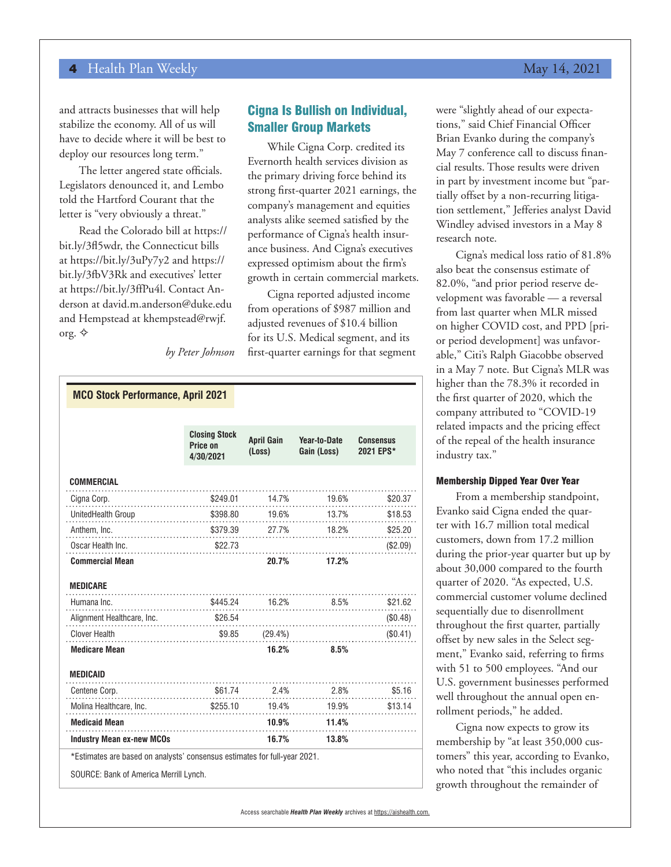and attracts businesses that will help stabilize the economy. All of us will have to decide where it will be best to deploy our resources long term."

The letter angered state officials. Legislators denounced it, and Lembo told the Hartford Courant that the letter is "very obviously a threat."

Read the Colorado bill at https:// bit.ly/3fl5wdr, the Connecticut bills at https://bit.ly/3uPy7y2 and https:// bit.ly/3fbV3Rk and executives' letter at https://bit.ly/3ffPu4l. Contact Anderson at david.m.anderson@duke.edu and Hempstead at khempstead@rwjf. org.  $\diamondsuit$ 

# Cigna Is Bullish on Individual, Smaller Group Markets

While Cigna Corp. credited its Evernorth health services division as the primary driving force behind its strong first-quarter 2021 earnings, the company's management and equities analysts alike seemed satisfied by the performance of Cigna's health insurance business. And Cigna's executives expressed optimism about the firm's growth in certain commercial markets.

Cigna reported adjusted income from operations of \$987 million and adjusted revenues of \$10.4 billion for its U.S. Medical segment, and its first-quarter earnings for that segment

*by Peter Johnson*

| <b>MCO Stock Performance, April 2021</b>                                                                                                                                                                                        |                                               |                             |                             |                               |
|---------------------------------------------------------------------------------------------------------------------------------------------------------------------------------------------------------------------------------|-----------------------------------------------|-----------------------------|-----------------------------|-------------------------------|
|                                                                                                                                                                                                                                 |                                               |                             |                             |                               |
|                                                                                                                                                                                                                                 | <b>Closing Stock</b><br>Price on<br>4/30/2021 | <b>April Gain</b><br>(Loss) | Year-to-Date<br>Gain (Loss) | <b>Consensus</b><br>2021 EPS* |
| <b>COMMERCIAL</b><br>.                                                                                                                                                                                                          |                                               |                             |                             |                               |
| Cigna Corp.                                                                                                                                                                                                                     |                                               |                             |                             | \$20.37                       |
| UnitedHealth Group \$398.80 19.6% 13.7% 13.7% 13.7% 13.7% 13.7% 13.7% 13.7% 13.7% 13.7% 13.7% 13.7% 13.7% 13.7%                                                                                                                 |                                               |                             |                             | \$18.53                       |
| Anthem, Inc. (379.39 27.7% 18.2% 18.2% 18.2% 18.2% 18.2% 19.1% 19.2% 19.2% 19.2% 19.2% 19.2% 19.2% 1                                                                                                                            |                                               |                             |                             | \$25.20                       |
| Oscar Health Inc. $$22.73$                                                                                                                                                                                                      |                                               |                             |                             | (\$2.09)                      |
| <b>Commercial Mean</b>                                                                                                                                                                                                          |                                               | 20.7%                       | 17.2%                       |                               |
| <b>MEDICARE</b>                                                                                                                                                                                                                 |                                               |                             |                             |                               |
| $$445.24$ 16.2% 8.5%<br>Humana Inc.                                                                                                                                                                                             |                                               |                             |                             | \$21.62                       |
|                                                                                                                                                                                                                                 |                                               |                             |                             | (\$0.48)                      |
| Clover Health $$9.85$ $(29.4%)$                                                                                                                                                                                                 |                                               |                             |                             | (\$0.41)                      |
| <b>Medicare Mean</b>                                                                                                                                                                                                            |                                               | 16.2%                       | 8.5%                        |                               |
| <b>MEDICAID</b>                                                                                                                                                                                                                 |                                               |                             |                             |                               |
| Centene Corp.                                                                                                                                                                                                                   |                                               |                             | $$61.74$ 2.4% 2.8%          | \$5.16                        |
| Molina Healthcare, Inc. \$255.10 19.4% 19.9% 19.9% 19.9% 19.9% 19.9% 19.9% 19.9% 19.9% 19.9% 19.9% 19.9% 19.9% 19.1% 19.1% 19.1% 19.1% 19.1% 19.1% 19.1% 19.1% 19.1% 19.1% 19.1% 19.1% 19.1% 19.1% 19.1% 19.1% 19.1% 19.1% 19.1 |                                               |                             |                             | \$13.14                       |
| <b>Medicaid Mean</b>                                                                                                                                                                                                            |                                               | 10.9%                       | 11.4%                       |                               |
| <b>Industry Mean ex-new MCOs</b>                                                                                                                                                                                                |                                               | 16.7%                       | 13.8%                       |                               |
| *Estimates are based on analysts' consensus estimates for full-year 2021.                                                                                                                                                       |                                               |                             |                             |                               |
| SOURCE: Bank of America Merrill Lynch.                                                                                                                                                                                          |                                               |                             |                             |                               |

were "slightly ahead of our expectations," said Chief Financial Officer Brian Evanko during the company's May 7 conference call to discuss financial results. Those results were driven in part by investment income but "partially offset by a non-recurring litigation settlement," Jefferies analyst David Windley advised investors in a May 8 research note.

Cigna's medical loss ratio of 81.8% also beat the consensus estimate of 82.0%, "and prior period reserve development was favorable — a reversal from last quarter when MLR missed on higher COVID cost, and PPD [prior period development] was unfavorable," Citi's Ralph Giacobbe observed in a May 7 note. But Cigna's MLR was higher than the 78.3% it recorded in the first quarter of 2020, which the company attributed to "COVID-19 related impacts and the pricing effect of the repeal of the health insurance industry tax."

### Membership Dipped Year Over Year

From a membership standpoint, Evanko said Cigna ended the quarter with 16.7 million total medical customers, down from 17.2 million during the prior-year quarter but up by about 30,000 compared to the fourth quarter of 2020. "As expected, U.S. commercial customer volume declined sequentially due to disenrollment throughout the first quarter, partially offset by new sales in the Select segment," Evanko said, referring to firms with 51 to 500 employees. "And our U.S. government businesses performed well throughout the annual open enrollment periods," he added.

Cigna now expects to grow its membership by "at least 350,000 customers" this year, according to Evanko, who noted that "this includes organic growth throughout the remainder of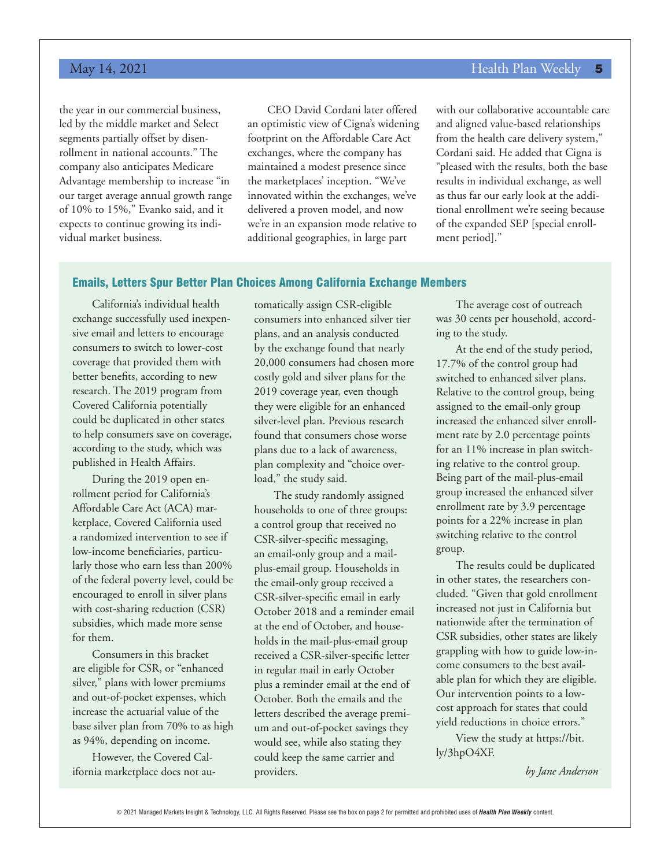the year in our commercial business, led by the middle market and Select segments partially offset by disenrollment in national accounts." The company also anticipates Medicare Advantage membership to increase "in our target average annual growth range of 10% to 15%," Evanko said, and it expects to continue growing its individual market business.

CEO David Cordani later offered an optimistic view of Cigna's widening footprint on the Affordable Care Act exchanges, where the company has maintained a modest presence since the marketplaces' inception. "We've innovated within the exchanges, we've delivered a proven model, and now we're in an expansion mode relative to additional geographies, in large part

with our collaborative accountable care and aligned value-based relationships from the health care delivery system," Cordani said. He added that Cigna is "pleased with the results, both the base results in individual exchange, as well as thus far our early look at the additional enrollment we're seeing because of the expanded SEP [special enrollment period]."

## Emails, Letters Spur Better Plan Choices Among California Exchange Members

California's individual health exchange successfully used inexpensive email and letters to encourage consumers to switch to lower-cost coverage that provided them with better benefits, according to new research. The 2019 program from Covered California potentially could be duplicated in other states to help consumers save on coverage, according to the study, which was published in Health Affairs.

During the 2019 open enrollment period for California's Affordable Care Act (ACA) marketplace, Covered California used a randomized intervention to see if low-income beneficiaries, particularly those who earn less than 200% of the federal poverty level, could be encouraged to enroll in silver plans with cost-sharing reduction (CSR) subsidies, which made more sense for them.

Consumers in this bracket are eligible for CSR, or "enhanced silver," plans with lower premiums and out-of-pocket expenses, which increase the actuarial value of the base silver plan from 70% to as high as 94%, depending on income.

However, the Covered California marketplace does not au-

tomatically assign CSR-eligible consumers into enhanced silver tier plans, and an analysis conducted by the exchange found that nearly 20,000 consumers had chosen more costly gold and silver plans for the 2019 coverage year, even though they were eligible for an enhanced silver-level plan. Previous research found that consumers chose worse plans due to a lack of awareness, plan complexity and "choice overload," the study said.

The study randomly assigned households to one of three groups: a control group that received no CSR-silver-specific messaging, an email-only group and a mailplus-email group. Households in the email-only group received a CSR-silver-specific email in early October 2018 and a reminder email at the end of October, and households in the mail-plus-email group received a CSR-silver-specific letter in regular mail in early October plus a reminder email at the end of October. Both the emails and the letters described the average premium and out-of-pocket savings they would see, while also stating they could keep the same carrier and providers.

The average cost of outreach was 30 cents per household, according to the study.

At the end of the study period, 17.7% of the control group had switched to enhanced silver plans. Relative to the control group, being assigned to the email-only group increased the enhanced silver enrollment rate by 2.0 percentage points for an 11% increase in plan switching relative to the control group. Being part of the mail-plus-email group increased the enhanced silver enrollment rate by 3.9 percentage points for a 22% increase in plan switching relative to the control group.

The results could be duplicated in other states, the researchers concluded. "Given that gold enrollment increased not just in California but nationwide after the termination of CSR subsidies, other states are likely grappling with how to guide low-income consumers to the best available plan for which they are eligible. Our intervention points to a lowcost approach for states that could yield reductions in choice errors."

View the study at https://bit. ly/3hpO4XF.

*by Jane Anderson*

© 2021 Managed Markets Insight & Technology, LLC. All Rights Reserved. Please see the box on page 2 for permitted and prohibited uses of *Health Plan Weekly* content.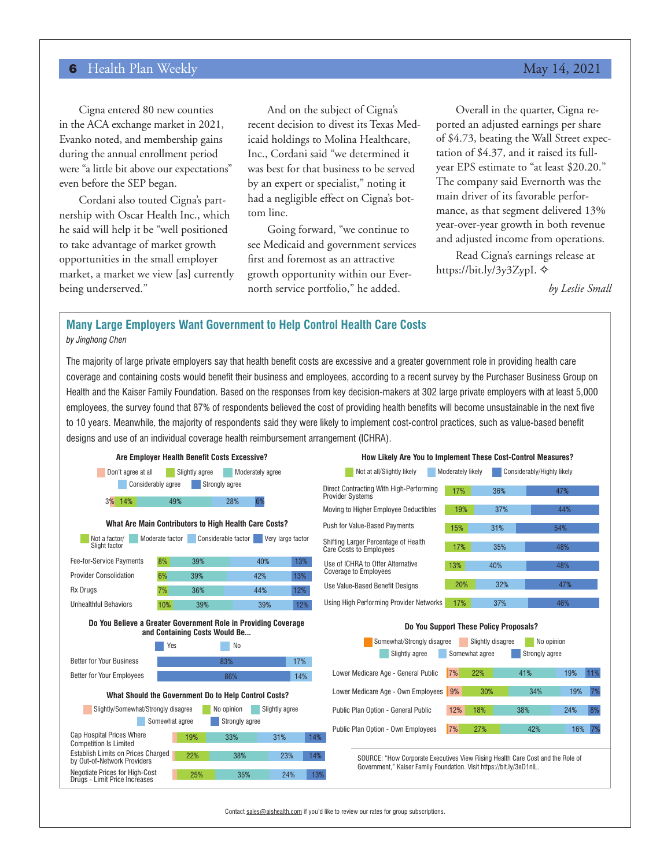Cigna entered 80 new counties in the ACA exchange market in 2021, Evanko noted, and membership gains during the annual enrollment period were "a little bit above our expectations" even before the SEP began.

Cordani also touted Cigna's partnership with Oscar Health Inc., which he said will help it be "well positioned to take advantage of market growth opportunities in the small employer market, a market we view [as] currently being underserved."

And on the subject of Cigna's recent decision to divest its Texas Medicaid holdings to Molina Healthcare, Inc., Cordani said "we determined it was best for that business to be served by an expert or specialist," noting it had a negligible effect on Cigna's bottom line.

Going forward, "we continue to see Medicaid and government services first and foremost as an attractive growth opportunity within our Evernorth service portfolio," he added.

Overall in the quarter, Cigna reported an adjusted earnings per share of \$4.73, beating the Wall Street expectation of \$4.37, and it raised its fullyear EPS estimate to "at least \$20.20." The company said Evernorth was the main driver of its favorable performance, as that segment delivered 13% year-over-year growth in both revenue and adjusted income from operations.

Read Cigna's earnings release at https://bit.ly/3y3ZypI. →

*by Leslie Small*

### **Many Large Employers Want Government to Help Control Health Care Costs** *by Jinghong Chen*

The majority of large private employers say that health benefit costs are excessive and a greater government role in providing health care coverage and containing costs would benefit their business and employees, according to a recent survey by the Purchaser Business Group on Health and the Kaiser Family Foundation. Based on the responses from key decision-makers at 302 large private employers with at least 5,000 employees, the survey found that 87% of respondents believed the cost of providing health benefits will become unsustainable in the next five to 10 years. Meanwhile, the majority of respondents said they were likely to implement cost-control practices, such as value-based benefit designs and use of an individual coverage health reimbursement arrangement (ICHRA).



Contact sales@aishealth.com if you'd like to review our rates for group subscriptions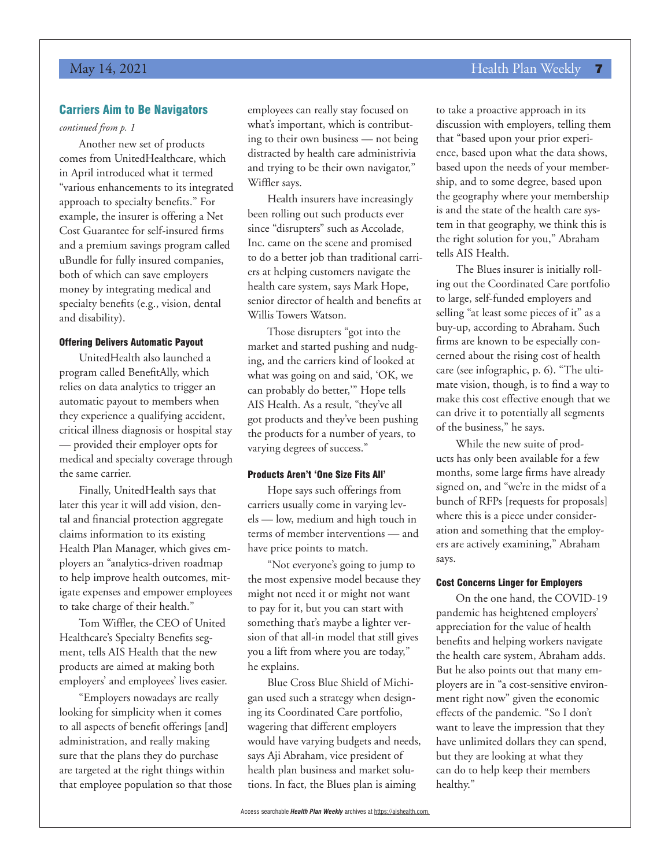# May 14, 2021 **Health Plan Weekly 7** New York 1988 1998 1999 Health Plan Weekly 7

# Carriers Aim to Be Navigators

### *continued from p. 1*

Another new set of products comes from UnitedHealthcare, which in April introduced what it termed "various enhancements to its integrated approach to specialty benefits." For example, the insurer is offering a Net Cost Guarantee for self-insured firms and a premium savings program called uBundle for fully insured companies, both of which can save employers money by integrating medical and specialty benefits (e.g., vision, dental and disability).

### Offering Delivers Automatic Payout

UnitedHealth also launched a program called BenefitAlly, which relies on data analytics to trigger an automatic payout to members when they experience a qualifying accident, critical illness diagnosis or hospital stay — provided their employer opts for medical and specialty coverage through the same carrier.

Finally, UnitedHealth says that later this year it will add vision, dental and financial protection aggregate claims information to its existing Health Plan Manager, which gives employers an "analytics-driven roadmap to help improve health outcomes, mitigate expenses and empower employees to take charge of their health."

Tom Wiffler, the CEO of United Healthcare's Specialty Benefits segment, tells AIS Health that the new products are aimed at making both employers' and employees' lives easier.

"Employers nowadays are really looking for simplicity when it comes to all aspects of benefit offerings [and] administration, and really making sure that the plans they do purchase are targeted at the right things within that employee population so that those employees can really stay focused on what's important, which is contributing to their own business — not being distracted by health care administrivia and trying to be their own navigator," Wiffler says.

Health insurers have increasingly been rolling out such products ever since "disrupters" such as Accolade, Inc. came on the scene and promised to do a better job than traditional carriers at helping customers navigate the health care system, says Mark Hope, senior director of health and benefits at Willis Towers Watson.

Those disrupters "got into the market and started pushing and nudging, and the carriers kind of looked at what was going on and said, 'OK, we can probably do better,'" Hope tells AIS Health. As a result, "they've all got products and they've been pushing the products for a number of years, to varying degrees of success."

#### Products Aren't 'One Size Fits All'

Hope says such offerings from carriers usually come in varying levels — low, medium and high touch in terms of member interventions — and have price points to match.

"Not everyone's going to jump to the most expensive model because they might not need it or might not want to pay for it, but you can start with something that's maybe a lighter version of that all-in model that still gives you a lift from where you are today," he explains.

Blue Cross Blue Shield of Michigan used such a strategy when designing its Coordinated Care portfolio, wagering that different employers would have varying budgets and needs, says Aji Abraham, vice president of health plan business and market solutions. In fact, the Blues plan is aiming

to take a proactive approach in its discussion with employers, telling them that "based upon your prior experience, based upon what the data shows, based upon the needs of your membership, and to some degree, based upon the geography where your membership is and the state of the health care system in that geography, we think this is the right solution for you," Abraham tells AIS Health.

The Blues insurer is initially rolling out the Coordinated Care portfolio to large, self-funded employers and selling "at least some pieces of it" as a buy-up, according to Abraham. Such firms are known to be especially concerned about the rising cost of health care (see infographic, p. 6). "The ultimate vision, though, is to find a way to make this cost effective enough that we can drive it to potentially all segments of the business," he says.

While the new suite of products has only been available for a few months, some large firms have already signed on, and "we're in the midst of a bunch of RFPs [requests for proposals] where this is a piece under consideration and something that the employers are actively examining," Abraham says.

#### Cost Concerns Linger for Employers

On the one hand, the COVID-19 pandemic has heightened employers' appreciation for the value of health benefits and helping workers navigate the health care system, Abraham adds. But he also points out that many employers are in "a cost-sensitive environment right now" given the economic effects of the pandemic. "So I don't want to leave the impression that they have unlimited dollars they can spend, but they are looking at what they can do to help keep their members healthy."